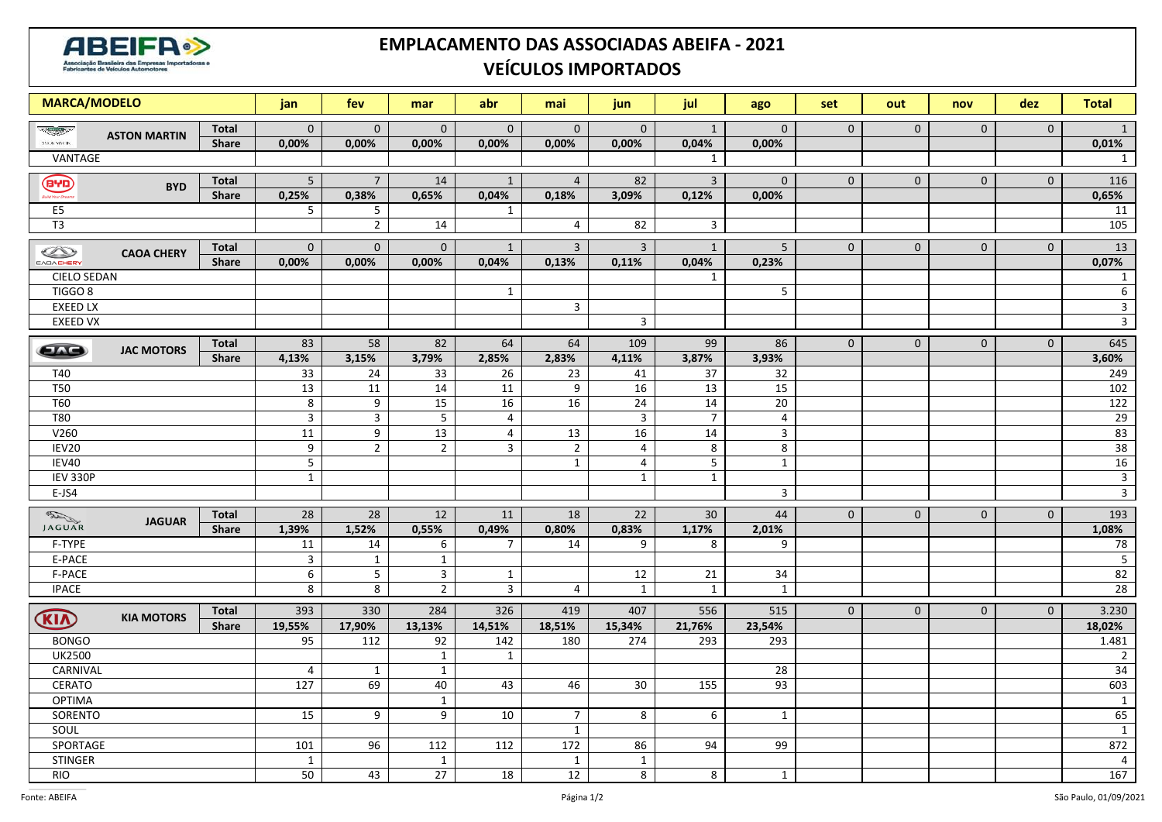

## **EMPLACAMENTO DAS ASSOCIADAS ABEIFA - 2021 VEÍCULOS IMPORTADOS**

| <b>MARCA/MODELO</b>  |                     |              | jan                | fev                | mar            | abr             | mai                     | jun            | jul              | ago             | set            | out          | nov          | dez          | <b>Total</b>            |
|----------------------|---------------------|--------------|--------------------|--------------------|----------------|-----------------|-------------------------|----------------|------------------|-----------------|----------------|--------------|--------------|--------------|-------------------------|
| <b>Report Follow</b> | <b>ASTON MARTIN</b> | Total        | $\overline{0}$     | $\mathbf 0$        | $\mathbf 0$    | $\mathbf 0$     | $\mathbf 0$             | $\mathbf 0$    | $\mathbf{1}$     | $\mathbf 0$     | $\mathbf 0$    | $\mathbf 0$  | $\mathbf 0$  | $\mathbf 0$  | $\mathbf{1}$            |
| AYON MACIN           |                     | <b>Share</b> | 0,00%              | 0,00%              | 0,00%          | 0,00%           | 0,00%                   | 0,00%          | 0,04%            | 0,00%           |                |              |              |              | 0,01%                   |
| VANTAGE<br>1         |                     |              |                    |                    |                |                 |                         |                |                  |                 | $\mathbf{1}$   |              |              |              |                         |
| (F'')                |                     | <b>Total</b> | 5 <sup>1</sup>     | $7\overline{ }$    | 14             | $\mathbf{1}$    | $\overline{4}$          | 82             | $\overline{3}$   | $\overline{0}$  | $\mathbf 0$    | $\mathbf{0}$ | $\mathbf 0$  | $\mathbf 0$  | 116                     |
|                      | <b>BYD</b>          | <b>Share</b> | 0,25%              | 0,38%              | 0,65%          | 0,04%           | 0,18%                   | 3,09%          | 0,12%            | 0,00%           |                |              |              |              | 0,65%                   |
| E5                   |                     |              | 5                  | 5                  |                | 1               |                         |                |                  |                 |                |              |              |              | 11                      |
| $\overline{T3}$      |                     |              |                    | $\overline{2}$     | 14             |                 | $\overline{4}$          | 82             | $\overline{3}$   |                 |                |              |              |              | 105                     |
| $\bigcirc$           |                     | <b>Total</b> | $\mathbf{0}$       | $\mathbf{0}$       | $\mathbf{0}$   | $\mathbf{1}$    | $\overline{3}$          | $\overline{3}$ | $\mathbf{1}$     | 5 <sup>1</sup>  | $\overline{0}$ | $\mathbf 0$  | $\mathbf{0}$ | $\mathbf{0}$ | 13                      |
| CAOA CHERY           | <b>CAOA CHERY</b>   | <b>Share</b> | 0,00%              | 0,00%              | 0,00%          | 0,04%           | 0,13%                   | 0,11%          | 0,04%            | 0,23%           |                |              |              |              | 0,07%                   |
| <b>CIELO SEDAN</b>   |                     |              |                    |                    |                |                 |                         |                | $\mathbf{1}$     |                 |                |              |              |              | $\mathbf{1}$            |
| TIGGO <sub>8</sub>   |                     |              |                    |                    |                | $\mathbf{1}$    |                         |                |                  | $\overline{5}$  |                |              |              |              | $\sqrt{6}$              |
| <b>EXEED LX</b>      |                     |              |                    |                    |                |                 | $\overline{\mathbf{3}}$ |                |                  |                 |                |              |              |              | $\mathbf{3}$            |
| <b>EXEED VX</b><br>3 |                     |              |                    |                    |                |                 |                         | سا             |                  |                 |                |              |              |              |                         |
| 573                  | <b>JAC MOTORS</b>   | <b>Total</b> | 83                 | 58                 | 82             | 64              | 64                      | 109            | 99               | 86              | $\mathbf 0$    | $\mathbf{0}$ | $\mathbf 0$  | $\mathbf{0}$ | 645                     |
|                      |                     | <b>Share</b> | 4,13%              | 3,15%              | 3,79%          | 2,85%           | 2,83%                   | 4,11%          | 3,87%            | 3,93%           |                |              |              |              | 3,60%                   |
| T40                  |                     |              | $\overline{33}$    | $\overline{24}$    | 33             | $\overline{26}$ | 23                      | 41             | 37               | 32              |                |              |              |              | 249                     |
| <b>T50</b>           |                     |              | 13                 | 11                 | 14             | 11              | 9                       | 16             | 13               | 15              |                |              |              |              | $\frac{102}{ }$         |
| <b>T60</b>           |                     |              | $\,8\,$            | $\boldsymbol{9}$   | 15             | 16              | 16                      | 24             | 14               | $\overline{20}$ |                |              |              |              | 122                     |
| <b>T80</b>           |                     |              | $\mathsf{3}$       | 3                  | $\overline{5}$ | 4               |                         | 3              | $\overline{7}$   | $\overline{4}$  |                |              |              |              | 29                      |
| V260                 |                     |              | 11                 | 9                  | 13             | 4               | 13                      | 16             | 14               | $\mathbf{3}$    |                |              |              |              | 83                      |
| IEV20                |                     |              | 9                  | $\overline{2}$     | $\overline{2}$ | $\overline{3}$  | $\overline{2}$          | $\sqrt{4}$     | 8                | 8               |                |              |              |              | 38                      |
| IEV40                |                     |              | $5\phantom{.0}$    |                    |                |                 | $\mathbf{1}$            | $\overline{4}$ | $5\phantom{.}$   | $\mathbf{1}$    |                |              |              |              | 16                      |
| <b>IEV 330P</b>      |                     |              | $\mathbf 1$        |                    |                |                 |                         | $\overline{1}$ | $\overline{1}$   |                 |                |              |              |              | $\overline{\mathbf{3}}$ |
| E-JS4                |                     |              |                    |                    |                |                 |                         |                |                  | $\overline{3}$  |                |              |              |              | $\overline{3}$          |
| <b>RAWAR</b>         | <b>JAGUAR</b>       |              | 28                 | 28                 | 12             | 11              | 18                      | 22             | 30               | 44              | $\mathbf{0}$   | $\mathbf{0}$ | $\mathbf{0}$ | $\mathbf{0}$ | 193                     |
|                      |                     | Share        | 1,39%              | 1,52%              | 0,55%          | 0,49%           | 0,80%                   | 0,83%          | 1,17%            | 2,01%           |                |              |              |              | 1,08%                   |
| F-TYPE               |                     |              | 11                 | 14                 | 6              | $\overline{7}$  | 14                      | 9              | 8                | 9               |                |              |              |              | 78                      |
| E-PACE               |                     |              | $\overline{3}$     | $\mathbf{1}$       | $\mathbf{1}$   |                 |                         |                |                  |                 |                |              |              |              | $5\phantom{.0}$         |
| F-PACE               |                     |              | $\overline{6}$     | $5\phantom{.0}$    | $\mathbf{3}$   | $\mathbf{1}$    |                         | 12             | 21               | 34              |                |              |              |              | 82                      |
| <b>IPACE</b>         |                     |              | $\overline{\bf 8}$ | $\overline{\bf 8}$ | $\overline{2}$ | $\overline{3}$  | $\overline{4}$          | $\mathbf{1}$   | $\mathbf{1}$     | $\mathbf{1}$    |                |              |              |              | 28                      |
| KIN                  | <b>KIA MOTORS</b>   | <b>Total</b> | 393                | 330                | 284            | 326             | 419                     | 407            | 556              | 515             | $\mathbf{0}$   | $\mathbf 0$  | $\mathbf{0}$ | $\mathbf{0}$ | 3.230                   |
|                      |                     | <b>Share</b> | 19,55%             | 17,90%             | 13,13%         | 14,51%          | 18,51%                  | 15,34%         | 21,76%           | 23,54%          |                |              |              |              | 18,02%                  |
| <b>BONGO</b>         |                     |              | 95                 | 112                | 92             | 142             | 180                     | 274            | 293              | 293             |                |              |              |              | 1.481                   |
| <b>UK2500</b>        |                     |              |                    |                    | $\mathbf{1}$   | $\mathbf{1}$    |                         |                |                  |                 |                |              |              |              | $2^{\circ}$             |
| CARNIVAL             |                     |              | 4                  | $\mathbf{1}$       | $\mathbf{1}$   |                 |                         |                |                  | 28              |                |              |              |              | 34                      |
| CERATO               |                     | 127          | 69                 | 40                 | 43             | 46              | 30                      | 155            | 93               |                 |                |              |              | 603          |                         |
| <b>OPTIMA</b>        |                     | 15           |                    | $\mathbf{1}$       |                |                 |                         |                |                  |                 |                |              |              | $\mathbf{1}$ |                         |
|                      | SORENTO             |              |                    | $\boldsymbol{9}$   | 9              | 10              | $\overline{7}$          | $\,8\,$        | $\boldsymbol{6}$ | $\mathbf 1$     |                |              |              |              | 65                      |
| SOUL                 |                     |              |                    |                    |                |                 | $\mathbf{1}$            |                |                  |                 |                |              |              |              | $\mathbf{1}$            |
| SPORTAGE             |                     |              | 101                | 96                 | 112            | 112             | 172                     | 86             | 94               | 99              |                |              |              |              | 872                     |
| STINGER              |                     |              | $\mathbf{1}$       |                    | $\mathbf{1}$   |                 | $\mathbf{1}$            | $\mathbf{1}$   |                  |                 |                |              |              |              | $\overline{4}$          |
| <b>RIO</b>           |                     |              | 50                 | 43                 | 27             | 18              | 12                      | 8              | 8                | $\mathbf{1}$    |                |              |              |              | 167                     |